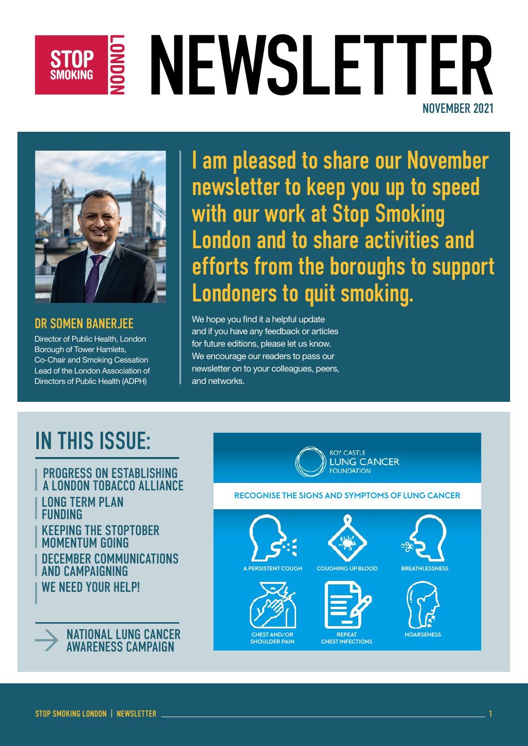## NEWSLETTER **STOP SMOKING** NOVEMBER 2021



DR SOMEN BANERJEE

Director of Public Health, London Borough of Tower Hamlets, Co-Chair and Smoking Cessation Lead of the London Association of Directors of Public Health (ADPH)

I am pleased to share our November newsletter to keep you up to speed with our work at Stop Smoking London and to share activities and efforts from the boroughs to support Londoners to quit smoking.

We hope you find it a helpful update and if you have any feedback or articles for future editions, please let us know. We encourage our readers to pass our newsletter on to your colleagues, peers, and networks.

## IN THIS ISSUE:

**LONG TERM PLAN** FUNDING KEEPING THE STOPTOBER MOMENTUM GOING DECEMBER COMMUNICATIONS AND CAMPAIGNING WE NEED YOUR HELP! PROGRESS ON ESTABLISHING A LONDON TOBACCO ALLIANCE



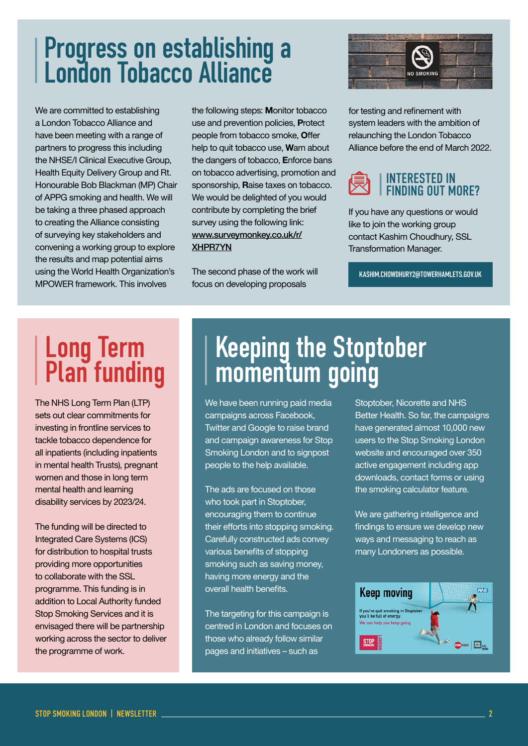## Progress on establishing a London Tobacco Alliance

We are committed to establishing a London Tobacco Alliance and have been meeting with a range of partners to progress this including the NHSE/I Clinical Executive Group, Health Equity Delivery Group and Rt. Honourable Bob Blackman (MP) Chair of APPG smoking and health. We will be taking a three phased approach to creating the Alliance consisting of surveying key stakeholders and convening a working group to explore the results and map potential aims using the World Health Organization's [MPOWER framework.](https://www.who.int/initiatives/mpower) This involves

the following steps: **M**onitor tobacco use and prevention policies, **P**rotect people from tobacco smoke, **O**ffer help to quit tobacco use, **W**arn about the dangers of tobacco, **E**nforce bans on tobacco advertising, promotion and sponsorship, **R**aise taxes on tobacco. We would be delighted of you would contribute by completing the brief survey using the following link: [www.surveymonkey.co.uk/r/](https://www.surveymonkey.co.uk/r/XHPR7YN) [XHPR7YN](https://www.surveymonkey.co.uk/r/XHPR7YN)

The second phase of the work will focus on developing proposals



for testing and refinement with system leaders with the ambition of relaunching the London Tobacco Alliance before the end of March 2022.

#### INTERESTED IN FINDING OUT MORE?

If you have any questions or would like to join the working group contact Kashim Choudhury, SSL Transformation Manager.

[KASHIM.CHOWDHURY2@TOWERHAMLETS.GOV.UK](mailto:Kashim.Chowdhury2@towerhamlets.gov.uk)

# **Long Term<br>Plan funding**

The NHS Long Term Plan (LTP) sets out clear commitments for investing in frontline services to tackle tobacco dependence for all inpatients (including inpatients in mental health Trusts), pregnant women and those in long term mental health and learning disability services by 2023/24.

The funding will be directed to Integrated Care Systems (ICS) for distribution to hospital trusts providing more opportunities to collaborate with the SSL programme. This funding is in addition to Local Authority funded Stop Smoking Services and it is envisaged there will be partnership working across the sector to deliver the programme of work.

## **Keeping the Stoptober** momentum going

We have been running paid media campaigns across Facebook, Twitter and Google to raise brand and campaign awareness for Stop Smoking London and to signpost people to the help available.

The ads are focused on those who took part in Stoptober. encouraging them to continue their efforts into stopping smoking. Carefully constructed ads convey various benefits of stopping smoking such as saving money, having more energy and the overall health benefits.

The targeting for this campaign is centred in London and focuses on those who already follow similar pages and initiatives – such as

Stoptober, Nicorette and NHS Better Health. So far, the campaigns have generated almost 10,000 new users to the Stop Smoking London website and encouraged over 350 active engagement including app downloads, contact forms or using the smoking calculator feature.

We are gathering intelligence and findings to ensure we develop new ways and messaging to reach as many Londoners as possible.